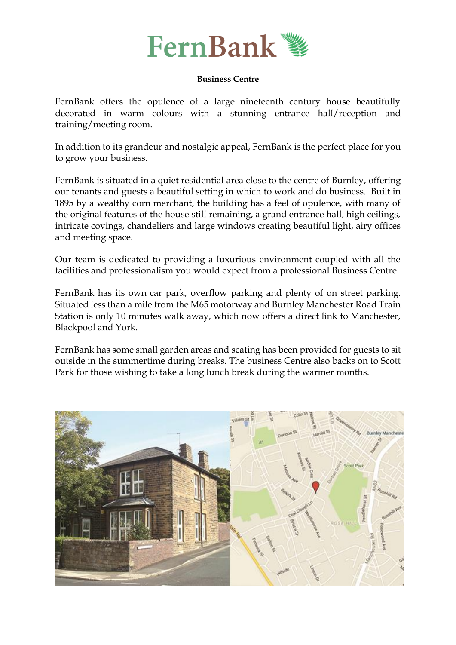

#### **Business Centre**

FernBank offers the opulence of a large nineteenth century house beautifully decorated in warm colours with a stunning entrance hall/reception and training/meeting room.

In addition to its grandeur and nostalgic appeal, FernBank is the perfect place for you to grow your business.

FernBank is situated in a quiet residential area close to the centre of Burnley, offering our tenants and guests a beautiful setting in which to work and do business. Built in 1895 by a wealthy corn merchant, the building has a feel of opulence, with many of the original features of the house still remaining, a grand entrance hall, high ceilings, intricate covings, chandeliers and large windows creating beautiful light, airy offices and meeting space.

Our team is dedicated to providing a luxurious environment coupled with all the facilities and professionalism you would expect from a professional Business Centre.

FernBank has its own car park, overflow parking and plenty of on street parking. Situated less than a mile from the M65 motorway and Burnley Manchester Road Train Station is only 10 minutes walk away, which now offers a direct link to Manchester, Blackpool and York.

FernBank has some small garden areas and seating has been provided for guests to sit outside in the summertime during breaks. The business Centre also backs on to Scott Park for those wishing to take a long lunch break during the warmer months.

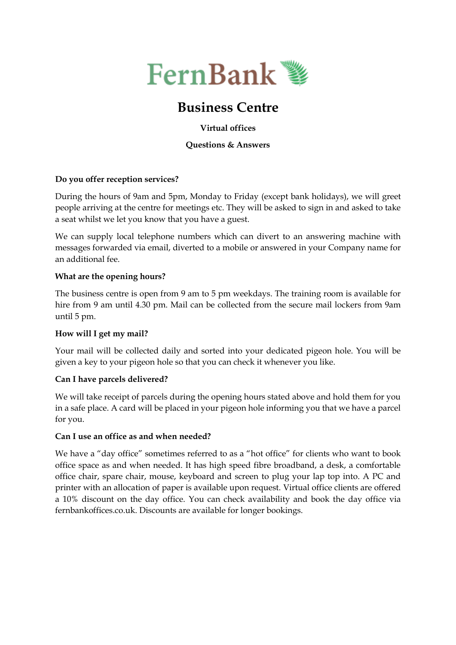

# **Business Centre**

# **Virtual offices**

#### **Questions & Answers**

## **Do you offer reception services?**

During the hours of 9am and 5pm, Monday to Friday (except bank holidays), we will greet people arriving at the centre for meetings etc. They will be asked to sign in and asked to take a seat whilst we let you know that you have a guest.

We can supply local telephone numbers which can divert to an answering machine with messages forwarded via email, diverted to a mobile or answered in your Company name for an additional fee.

## **What are the opening hours?**

The business centre is open from 9 am to 5 pm weekdays. The training room is available for hire from 9 am until 4.30 pm. Mail can be collected from the secure mail lockers from 9am until 5 pm.

#### **How will I get my mail?**

Your mail will be collected daily and sorted into your dedicated pigeon hole. You will be given a key to your pigeon hole so that you can check it whenever you like.

# **Can I have parcels delivered?**

We will take receipt of parcels during the opening hours stated above and hold them for you in a safe place. A card will be placed in your pigeon hole informing you that we have a parcel for you.

#### **Can I use an office as and when needed?**

We have a "day office" sometimes referred to as a "hot office" for clients who want to book office space as and when needed. It has high speed fibre broadband, a desk, a comfortable office chair, spare chair, mouse, keyboard and screen to plug your lap top into. A PC and printer with an allocation of paper is available upon request. Virtual office clients are offered a 10% discount on the day office. You can check availability and book the day office via fernbankoffices.co.uk. Discounts are available for longer bookings.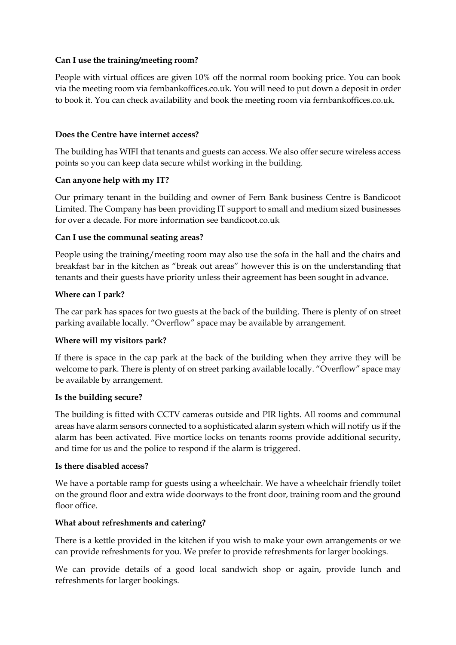## **Can I use the training/meeting room?**

People with virtual offices are given 10% off the normal room booking price. You can book via the meeting room via fernbankoffices.co.uk. You will need to put down a deposit in order to book it. You can check availability and book the meeting room via fernbankoffices.co.uk.

## **Does the Centre have internet access?**

The building has WIFI that tenants and guests can access. We also offer secure wireless access points so you can keep data secure whilst working in the building.

## **Can anyone help with my IT?**

Our primary tenant in the building and owner of Fern Bank business Centre is Bandicoot Limited. The Company has been providing IT support to small and medium sized businesses for over a decade. For more information see bandicoot.co.uk

## **Can I use the communal seating areas?**

People using the training/meeting room may also use the sofa in the hall and the chairs and breakfast bar in the kitchen as "break out areas" however this is on the understanding that tenants and their guests have priority unless their agreement has been sought in advance.

## **Where can I park?**

The car park has spaces for two guests at the back of the building. There is plenty of on street parking available locally. "Overflow" space may be available by arrangement.

# **Where will my visitors park?**

If there is space in the cap park at the back of the building when they arrive they will be welcome to park. There is plenty of on street parking available locally. "Overflow" space may be available by arrangement.

#### **Is the building secure?**

The building is fitted with CCTV cameras outside and PIR lights. All rooms and communal areas have alarm sensors connected to a sophisticated alarm system which will notify us if the alarm has been activated. Five mortice locks on tenants rooms provide additional security, and time for us and the police to respond if the alarm is triggered.

#### **Is there disabled access?**

We have a portable ramp for guests using a wheelchair. We have a wheelchair friendly toilet on the ground floor and extra wide doorways to the front door, training room and the ground floor office.

# **What about refreshments and catering?**

There is a kettle provided in the kitchen if you wish to make your own arrangements or we can provide refreshments for you. We prefer to provide refreshments for larger bookings.

We can provide details of a good local sandwich shop or again, provide lunch and refreshments for larger bookings.